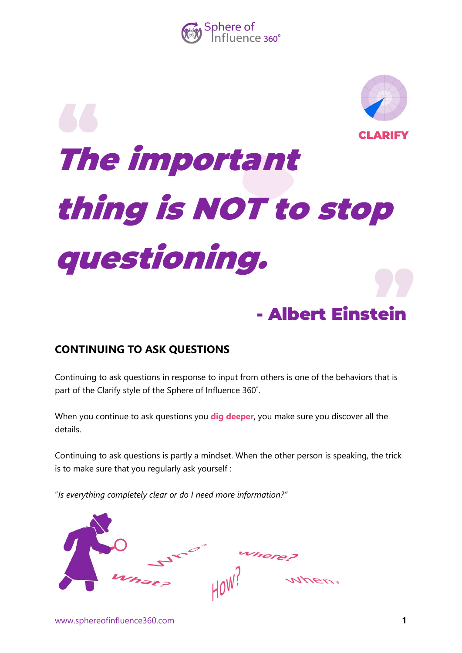



## The important thing is NOT to stop questioning. - Albert Einstein **CLARIFY**

## **CONTINUING TO ASK QUESTIONS**

Continuing to ask questions in response to input from others is one of the behaviors that is part of the Clarify style of the Sphere of Influence 360˚.

When you continue to ask questions you **dig deeper**, you make sure you discover all the details.

Continuing to ask questions is partly a mindset. When the other person is speaking, the trick is to make sure that you regularly ask yourself :

"*Is everything completely clear or do I need more information?"*

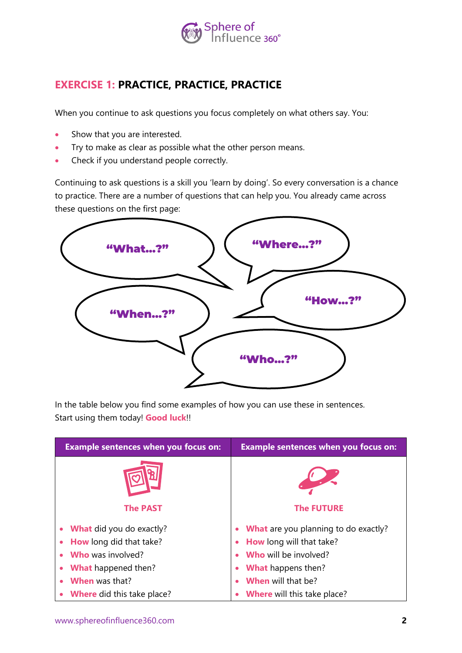

## **EXERCISE 1: PRACTICE, PRACTICE, PRACTICE**

When you continue to ask questions you focus completely on what others say. You:

- Show that you are interested.
- Try to make as clear as possible what the other person means.
- Check if you understand people correctly.

Continuing to ask questions is a skill you 'learn by doing'. So every conversation is a chance to practice. There are a number of questions that can help you. You already came across these questions on the first page:



In the table below you find some examples of how you can use these in sentences. Start using them today! **Good luck**!!

| <b>Example sentences when you focus on:</b> | <b>Example sentences when you focus on:</b> |  |
|---------------------------------------------|---------------------------------------------|--|
|                                             |                                             |  |
| <b>The PAST</b>                             | <b>The FUTURE</b>                           |  |
| <b>What</b> did you do exactly?             | What are you planning to do exactly?        |  |
| How long did that take?                     | How long will that take?                    |  |
| <b>Who</b> was involved?                    | <b>Who</b> will be involved?                |  |
| What happened then?                         | <b>What</b> happens then?                   |  |
| <b>When</b> was that?                       | <b>When</b> will that be?                   |  |
| <b>Where</b> did this take place?           | <b>Where</b> will this take place?          |  |